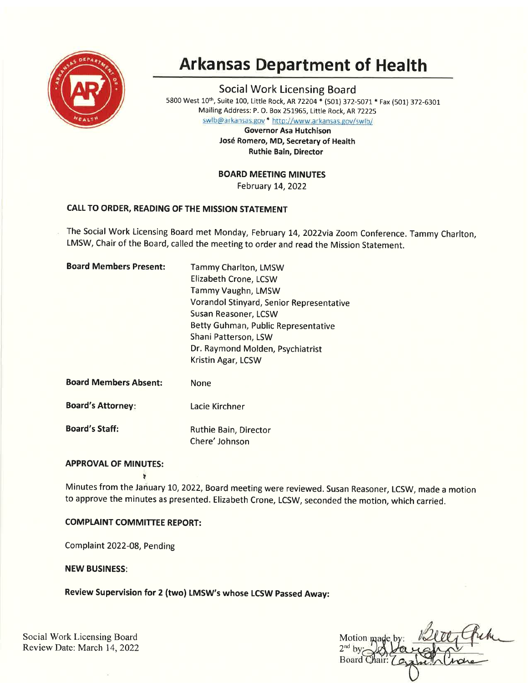

# Arkansas Department of Health

Social Work Licensing Board 5800 West 10<sup>th</sup>, Suite 100, Little Rock, AR 72204 \* (501) 372-5071 \* Fax (501) 372-6301 Mailing Address: P. O. Box 251965, Little Rock, AR72225

swlb@arkansas.gov \* http://www.arkansas.gov/swlb/

Governor Asa Hutchison José Romero, MD, Secretary of Health Ruthie Bain, Director

BOARD MEETING MINUTES

February 14,2022

# CALL TO ORDER, READING OF THE MISSION STATEMENT

The Social Work Licensing Board met Monday, February t4,2O22via Zoom Conference. Tammy Charlton, LMSW, Chair of the Board, called the meeting to order and read the Mission Statement.

| <b>Board Members Present:</b> | Tammy Charlton, LMSW<br>Elizabeth Crone, LCSW<br>Tammy Vaughn, LMSW<br>Vorandol Stinyard, Senior Representative<br>Susan Reasoner, LCSW<br>Betty Guhman, Public Representative |
|-------------------------------|--------------------------------------------------------------------------------------------------------------------------------------------------------------------------------|
|                               | Shani Patterson, LSW                                                                                                                                                           |
|                               | Dr. Raymond Molden, Psychiatrist                                                                                                                                               |
|                               | Kristin Agar, LCSW                                                                                                                                                             |
| <b>Board Members Absent:</b>  | None                                                                                                                                                                           |
| <b>Board's Attorney:</b>      | Lacie Kirchner                                                                                                                                                                 |

Board's Staff: Ruthie Bain, Director

Chere' Johnson

# **APPROVAL OF MINUTES:**

Minutes from the January 10, 2022, Board meeting were reviewed. Susan Reasoner, LCSW, made a motion to approve the minutes as presented. Elizabeth Crone, LCSW, seconded the motion, which carried.

# COMPLAINT COMMITTEE REPORT:

I

Complaint 2022-08, Pending

NEW BUSINESS:

Review Supervision for 2 (two) LMSW's whose LCSW passed Away:

Social Work Licensing Board Review Date: March 14,2022

Motion ma  $2<sup>nd</sup>$  by Board C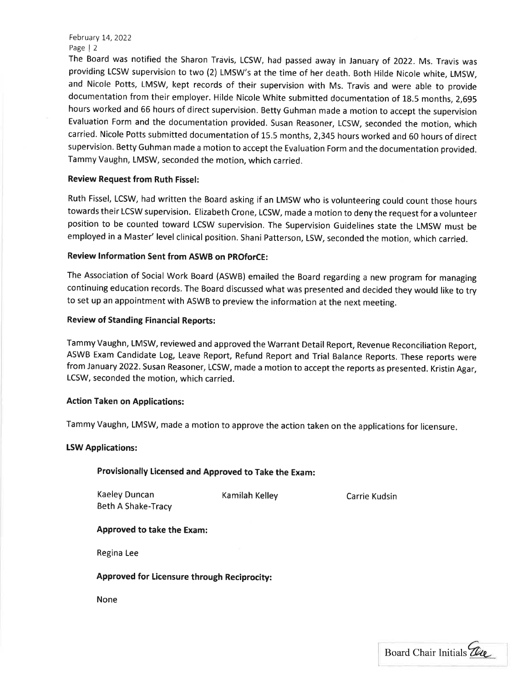The Board was notified the Sharon Travis, LCSW, had passed away in January of 2O22. Ms. Travis was providing LCSW supervision to two (2) LMSW's at the time of her death. Both Hilde Nicole white, LMSW, and Nicole Potts, LMSW, kept records of their supervision with Ms. Travis and were able to provide documentation from their employer. Hilde Nicole White submitted documentation of 18.5 months, 2,695 hours worked and 66 hours of direct supervision. Betty Guhman made a motion to accept the supervision Evaluation Form and the documentation provided. Susan Reasoner, LCSW, seconded the motion, which carried. Nicole Potts submitted documentation of 15.5 months, 2,345 hours worked and G0 hours of direct supervision. Betty Guhman made a motion to accept the Evaluation Form and the documentation provided. Tammy Vaughn, LMSW, seconded the motion, which carried.

## Review Request from Ruth Fissel:

Ruth Fissel, LCSW, had written the Board asking if an LMSW who is volunteering could count those hours towards their LCSW supervision. Elizabeth Crone, LCSW, made a motion to deny the request for a volunteer position to be counted toward LCSW supervision. The Supervision Guidelines state the LMSW must be employed in a Master' level clinical position. Shani Patterson, LSW, seconded the motion, which carried.

## Review lnformation Sent from ASWB on pROforCE:

The Association of Social Work Board (ASWB) emailed the Board regarding a new program for managing continuing education records. The Board discussed what was presented and decided they would like to try to set up an appointment with ASWB to preview the information at the next meeting.

## Review of Standing Financial Reports:

Tammy Vaughn, LMSW, reviewed and approved the Warrant Detail Report, Revenue Reconciliation Report, ASWB Exam Candidate Log, Leave Report, Refund Report and Trial Balance Reports. These reports were from January 2O22. Susan Reasoner, LCSW, made a motion to accept the reports as presented. Kristin Agar, LCSW, seconded the motion, which carried.

## Action Taken on Applications:

Tammy Vaughn, LMSW, made a motion to approve the action taken on the applications for licensure

## LSW Applications:

## Provisionally licensed and Approved to Take the Exam:

Kaeley Duncan Beth A Shake-Tracy Kamilah Kelley

Carrie Kudsin

## Approved to take the Exam:

Regina Lee

# Approved for ticensure through Reciprocity:

None

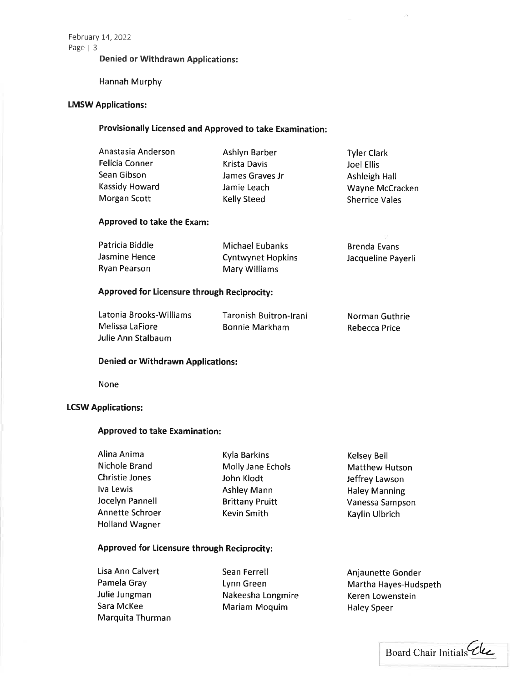## Denied or Withdrawn Applications:

Hannah Murphy

# LMSW Applications:

# Provisionally Licensed and Approved to take Examination:

| Anastasia Anderson | Ashlyn Barber   | <b>Tyler Clark</b>    |
|--------------------|-----------------|-----------------------|
| Felicia Conner     | Krista Davis    | Joel Ellis            |
| Sean Gibson        | James Graves Jr | Ashleigh Hall         |
| Kassidy Howard     | Jamie Leach     | Wayne McCracken       |
| Morgan Scott       | Kelly Steed     | <b>Sherrice Vales</b> |
|                    |                 |                       |

## Approved to take the Exam:

| Patricia Biddle | Michael Eubanks          | Brenda Evans       |
|-----------------|--------------------------|--------------------|
| Jasmine Hence   | <b>Cyntwynet Hopkins</b> | Jacqueline Payerli |
| Ryan Pearson    | Mary Williams            |                    |

## Approved for Licensure through Reciprocity:

| Latonia Brooks-Williams | Taronish Buitron-Irani | Norman Guthrie |
|-------------------------|------------------------|----------------|
| Melissa LaFiore         | Bonnie Markham         | Rebecca Price  |
| Julie Ann Stalbaum      |                        |                |

#### Denied or Withdrawn Applications:

None

### **LCSW Applications:**

#### Approved to take Examination:

| Alina Anima           | Kyla Barkins           | Kelsey Bell           |
|-----------------------|------------------------|-----------------------|
| Nichole Brand         | Molly Jane Echols      | <b>Matthew Hutson</b> |
| <b>Christie Jones</b> | John Klodt             | Jeffrey Lawson        |
| Iva Lewis             | <b>Ashley Mann</b>     | <b>Haley Manning</b>  |
| Jocelyn Pannell       | <b>Brittany Pruitt</b> | Vanessa Sampson       |
| Annette Schroer       | Kevin Smith            | Kaylin Ulbrich        |
| <b>Holland Wagner</b> |                        |                       |

# Approved for Licensure through Reciprocity:

Lisa Ann Calvert Pamela Gray Julie Jungman Sara McKee Marquita Thurman Sean Ferrell Lynn Green Nakeesha Longmire Mariam Moquim

Anjaunette Gonder Martha Hayes-Hudspeth Keren Lowenstein Haley Speer

×